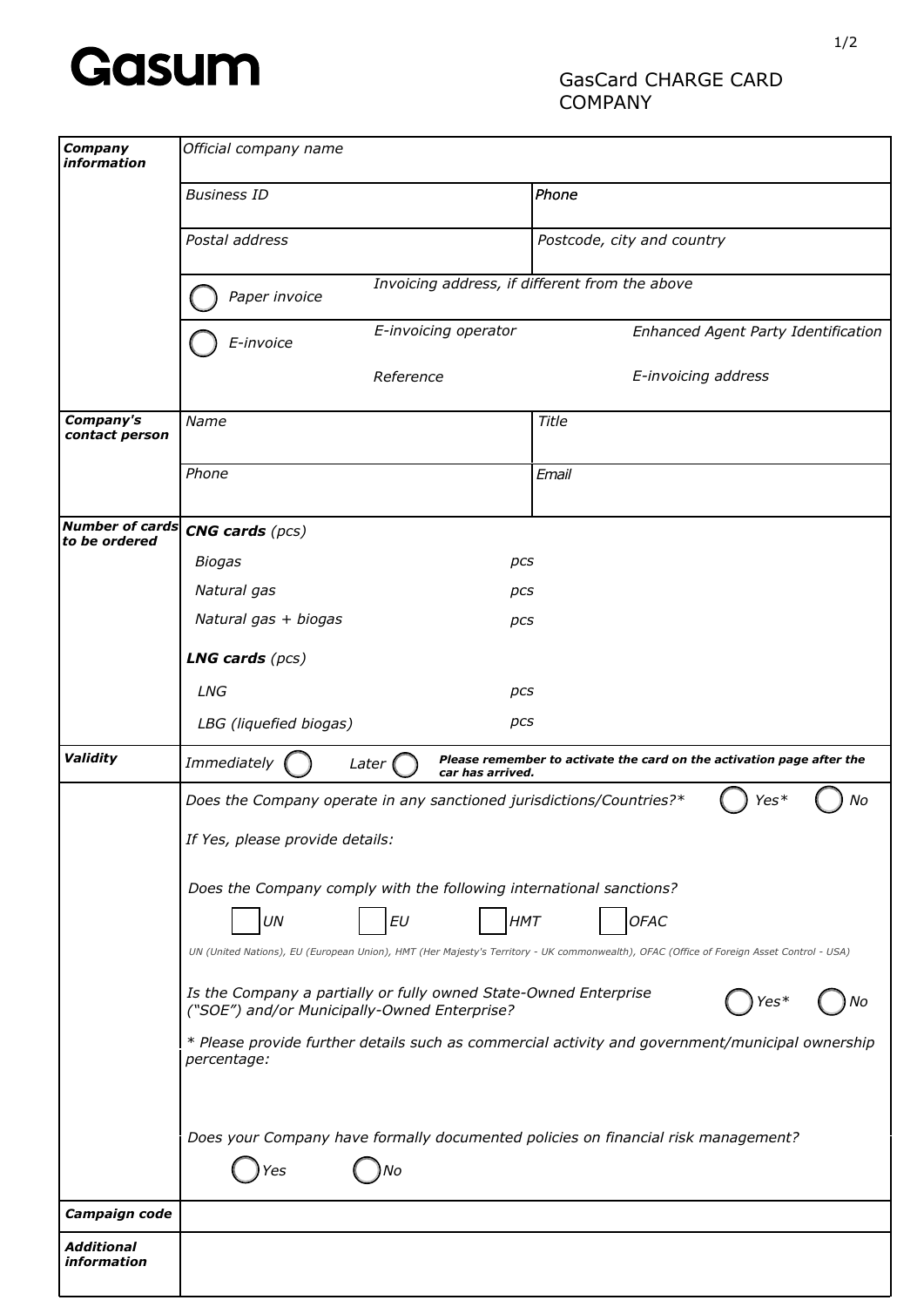

## GasCard CHARGE CARD COMPANY

| Company<br><i>information</i>           | Official company name                                                                                                                                                                        |                                                                       |
|-----------------------------------------|----------------------------------------------------------------------------------------------------------------------------------------------------------------------------------------------|-----------------------------------------------------------------------|
|                                         | <b>Business ID</b>                                                                                                                                                                           | Phone                                                                 |
|                                         | Postal address                                                                                                                                                                               | Postcode, city and country                                            |
|                                         | Invoicing address, if different from the above<br>Paper invoice                                                                                                                              |                                                                       |
|                                         | E-invoicing operator<br>E-invoice                                                                                                                                                            | Enhanced Agent Party Identification                                   |
|                                         | Reference                                                                                                                                                                                    | E-invoicing address                                                   |
| Company's<br>contact person             | Name                                                                                                                                                                                         | Title                                                                 |
|                                         | Phone                                                                                                                                                                                        | Email                                                                 |
| <b>Number of cards</b><br>to be ordered | $CNG$ cards ( $pcs$ )                                                                                                                                                                        |                                                                       |
|                                         | <b>Biogas</b><br>pcs                                                                                                                                                                         |                                                                       |
|                                         | Natural gas<br>pcs                                                                                                                                                                           |                                                                       |
|                                         | Natural gas + biogas<br>pcs                                                                                                                                                                  |                                                                       |
|                                         | <b>LNG cards</b> $(pcs)$                                                                                                                                                                     |                                                                       |
|                                         | <b>LNG</b><br>pcs                                                                                                                                                                            |                                                                       |
|                                         | pcs<br>LBG (liquefied biogas)                                                                                                                                                                |                                                                       |
| Validity                                | Immediately<br>Later (<br>car has arrived.                                                                                                                                                   | Please remember to activate the card on the activation page after the |
|                                         | Does the Company operate in any sanctioned jurisdictions/Countries?*<br>No<br>Yes*<br>If Yes, please provide details:<br>Does the Company comply with the following international sanctions? |                                                                       |
|                                         |                                                                                                                                                                                              |                                                                       |
|                                         |                                                                                                                                                                                              |                                                                       |
|                                         | $\cal{EU}$<br><b>HMT</b><br>UN                                                                                                                                                               | <b>OFAC</b>                                                           |
|                                         | UN (United Nations), EU (European Union), HMT (Her Majesty's Territory - UK commonwealth), OFAC (Office of Foreign Asset Control - USA)                                                      |                                                                       |
|                                         | Is the Company a partially or fully owned State-Owned Enterprise<br>("SOE") and/or Municipally-Owned Enterprise?                                                                             |                                                                       |
|                                         | * Please provide further details such as commercial activity and government/municipal ownership<br>percentage:                                                                               |                                                                       |
|                                         | Does your Company have formally documented policies on financial risk management?<br>No<br>'es                                                                                               |                                                                       |
| Campaign code                           |                                                                                                                                                                                              |                                                                       |
| <b>Additional</b><br>information        |                                                                                                                                                                                              |                                                                       |